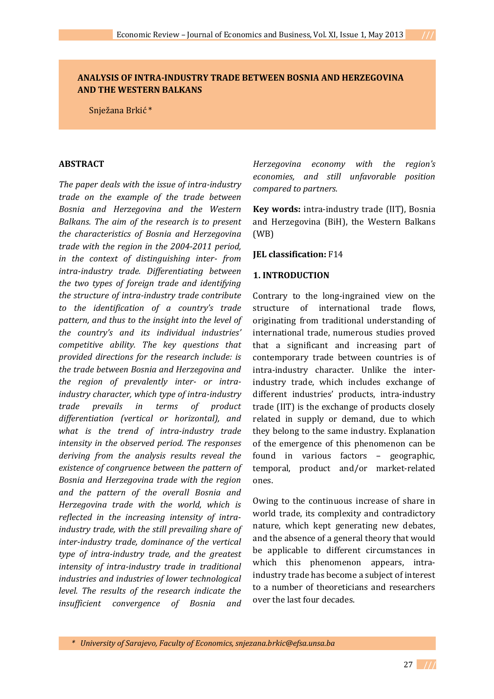## **ANALYSIS OF INTRA-INDUSTRY TRADE BETWEEN BOSNIA AND HERZEGOVINA AND THE WESTERN BALKANS**

Snježana Brkić \*

#### **ABSTRACT**

*The paper deals with the issue of intra-industry trade on the example of the trade between Bosnia and Herzegovina and the Western Balkans. The aim of the research is to present the characteristics of Bosnia and Herzegovina trade with the region in the 2004-2011 period, in the context of distinguishing inter- from intra-industry trade. Differentiating between the two types of foreign trade and identifying the structure of intra-industry trade contribute to the identification of a country's trade pattern, and thus to the insight into the level of the country's and its individual industries' competitive ability. The key questions that provided directions for the research include: is the trade between Bosnia and Herzegovina and the region of prevalently inter- or intraindustry character, which type of intra-industry trade prevails in terms of product differentiation (vertical or horizontal), and what is the trend of intra-industry trade intensity in the observed period. The responses deriving from the analysis results reveal the existence of congruence between the pattern of Bosnia and Herzegovina trade with the region and the pattern of the overall Bosnia and Herzegovina trade with the world, which is reflected in the increasing intensity of intraindustry trade, with the still prevailing share of inter-industry trade, dominance of the vertical type of intra-industry trade, and the greatest intensity of intra-industry trade in traditional industries and industries of lower technological level. The results of the research indicate the insufficient convergence of Bosnia and* 

*Herzegovina economy with the region's economies, and still unfavorable position compared to partners.*

**Key words:** intra-industry trade (IIT), Bosnia and Herzegovina (BiH), the Western Balkans (WB)

#### **JEL classification:** F14

### **1. INTRODUCTION**

Contrary to the long-ingrained view on the structure of international trade flows, originating from traditional understanding of international trade, numerous studies proved that a significant and increasing part of contemporary trade between countries is of intra-industry character. Unlike the interindustry trade, which includes exchange of different industries' products, intra-industry trade (IIT) is the exchange of products closely related in supply or demand, due to which they belong to the same industry. Explanation of the emergence of this phenomenon can be found in various factors – geographic, temporal, product and/or market-related ones.

Owing to the continuous increase of share in world trade, its complexity and contradictory nature, which kept generating new debates, and the absence of a general theory that would be applicable to different circumstances in which this phenomenon appears, intraindustry trade has become a subject of interest to a number of theoreticians and researchers over the last four decades.

*\* University of Sarajevo, Faculty of Economics, snjezana.brkic@efsa.unsa.ba*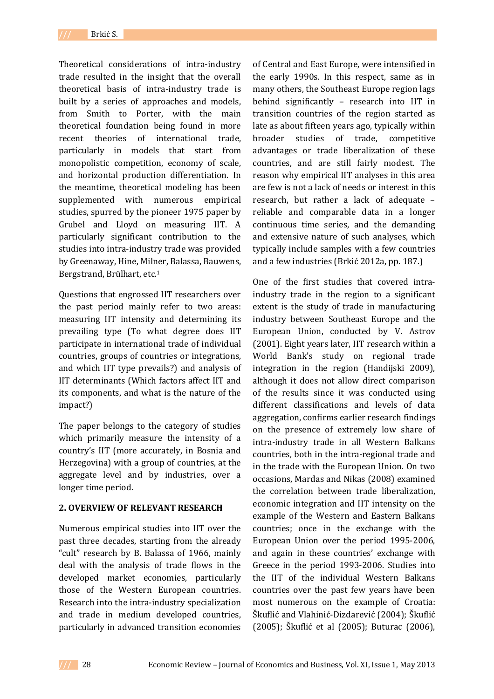Theoretical considerations of intra-industry trade resulted in the insight that the overall theoretical basis of intra-industry trade is built by a series of approaches and models, from Smith to Porter, with the main theoretical foundation being found in more recent theories of international trade, particularly in models that start from monopolistic competition, economy of scale, and horizontal production differentiation. In the meantime, theoretical modeling has been supplemented with numerous empirical studies, spurred by the pioneer 1975 paper by Grubel and Lloyd on measuring IIT. A particularly significant contribution to the studies into intra-industry trade was provided by Greenaway, Hine, Milner, Balassa, Bauwens, Bergstrand, Brülhart, etc.<sup>1</sup>

Questions that engrossed IIT researchers over the past period mainly refer to two areas: measuring IIT intensity and determining its prevailing type (To what degree does IIT participate in international trade of individual countries, groups of countries or integrations, and which IIT type prevails?) and analysis of IIT determinants (Which factors affect IIT and its components, and what is the nature of the impact?)

The paper belongs to the category of studies which primarily measure the intensity of a country's IIT (more accurately, in Bosnia and Herzegovina) with a group of countries, at the aggregate level and by industries, over a longer time period.

### **2. OVERVIEW OF RELEVANT RESEARCH**

Numerous empirical studies into IIT over the past three decades, starting from the already "cult" research by B. Balassa of 1966, mainly deal with the analysis of trade flows in the developed market economies, particularly those of the Western European countries. Research into the intra-industry specialization and trade in medium developed countries, particularly in advanced transition economies

of Central and East Europe, were intensified in the early 1990s. In this respect, same as in many others, the Southeast Europe region lags behind significantly – research into IIT in transition countries of the region started as late as about fifteen years ago, typically within broader studies of trade, competitive advantages or trade liberalization of these countries, and are still fairly modest. The reason why empirical IIT analyses in this area are few is not a lack of needs or interest in this research, but rather a lack of adequate – reliable and comparable data in a longer continuous time series, and the demanding and extensive nature of such analyses, which typically include samples with a few countries and a few industries (Brkić 2012a, pp. 187.)

One of the first studies that covered intraindustry trade in the region to a significant extent is the study of trade in manufacturing industry between Southeast Europe and the European Union, conducted by V. Astrov (2001). Eight years later, IIT research within a World Bank's study on regional trade integration in the region (Handijski 2009), although it does not allow direct comparison of the results since it was conducted using different classifications and levels of data aggregation, confirms earlier research findings on the presence of extremely low share of intra-industry trade in all Western Balkans countries, both in the intra-regional trade and in the trade with the European Union. On two occasions, Mardas and Nikas (2008) examined the correlation between trade liberalization, economic integration and IIT intensity on the example of the Western and Eastern Balkans countries; once in the exchange with the European Union over the period 1995-2006, and again in these countries' exchange with Greece in the period 1993-2006. Studies into the IIT of the individual Western Balkans countries over the past few years have been most numerous on the example of Croatia: Škuflić and Vlahinić-Dizdarević (2004); Škuflić (2005); Škuflić et al (2005); Buturac (2006),

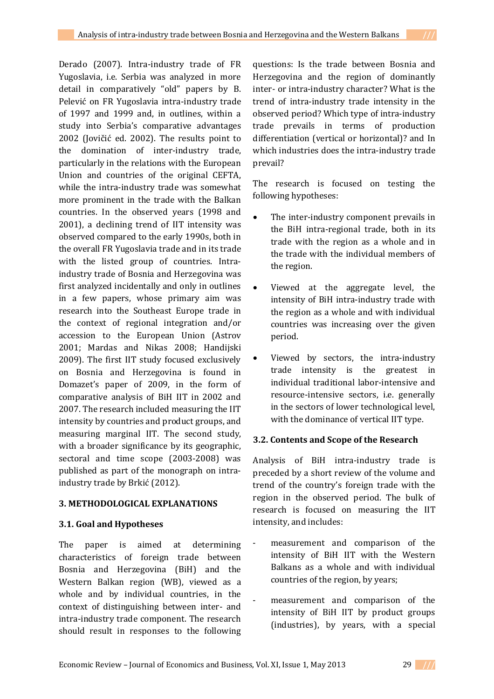Derado (2007). Intra-industry trade of FR Yugoslavia, i.e. Serbia was analyzed in more detail in comparatively "old" papers by B. Pelević on FR Yugoslavia intra-industry trade of 1997 and 1999 and, in outlines, within a study into Serbia's comparative advantages 2002 (Jovičić ed. 2002). The results point to the domination of inter-industry trade, particularly in the relations with the European Union and countries of the original CEFTA, while the intra-industry trade was somewhat more prominent in the trade with the Balkan countries. In the observed years (1998 and 2001), a declining trend of IIT intensity was observed compared to the early 1990s, both in the overall FR Yugoslavia trade and in its trade with the listed group of countries. Intraindustry trade of Bosnia and Herzegovina was first analyzed incidentally and only in outlines in a few papers, whose primary aim was research into the Southeast Europe trade in the context of regional integration and/or accession to the European Union (Astrov 2001; Mardas and Nikas 2008; Handijski 2009). The first IIT study focused exclusively on Bosnia and Herzegovina is found in Domazet's paper of 2009, in the form of comparative analysis of BiH IIT in 2002 and 2007. The research included measuring the IIT intensity by countries and product groups, and measuring marginal IIT. The second study, with a broader significance by its geographic, sectoral and time scope (2003-2008) was published as part of the monograph on intraindustry trade by Brkić (2012).

# **3. METHODOLOGICAL EXPLANATIONS**

# **3.1. Goal and Hypotheses**

The paper is aimed at determining characteristics of foreign trade between Bosnia and Herzegovina (BiH) and the Western Balkan region (WB), viewed as a whole and by individual countries, in the context of distinguishing between inter- and intra-industry trade component. The research should result in responses to the following questions: Is the trade between Bosnia and Herzegovina and the region of dominantly inter- or intra-industry character? What is the trend of intra-industry trade intensity in the observed period? Which type of intra-industry trade prevails in terms of production differentiation (vertical or horizontal)? and In which industries does the intra-industry trade prevail?

The research is focused on testing the following hypotheses:

- The inter-industry component prevails in the BiH intra-regional trade, both in its trade with the region as a whole and in the trade with the individual members of the region.
- Viewed at the aggregate level, the intensity of BiH intra-industry trade with the region as a whole and with individual countries was increasing over the given period.
- Viewed by sectors, the intra-industry trade intensity is the greatest in individual traditional labor-intensive and resource-intensive sectors, i.e. generally in the sectors of lower technological level, with the dominance of vertical IIT type.

# **3.2. Contents and Scope of the Research**

Analysis of BiH intra-industry trade is preceded by a short review of the volume and trend of the country's foreign trade with the region in the observed period. The bulk of research is focused on measuring the IIT intensity, and includes:

- measurement and comparison of the intensity of BiH IIT with the Western Balkans as a whole and with individual countries of the region, by years;
- measurement and comparison of the intensity of BiH IIT by product groups (industries), by years, with a special

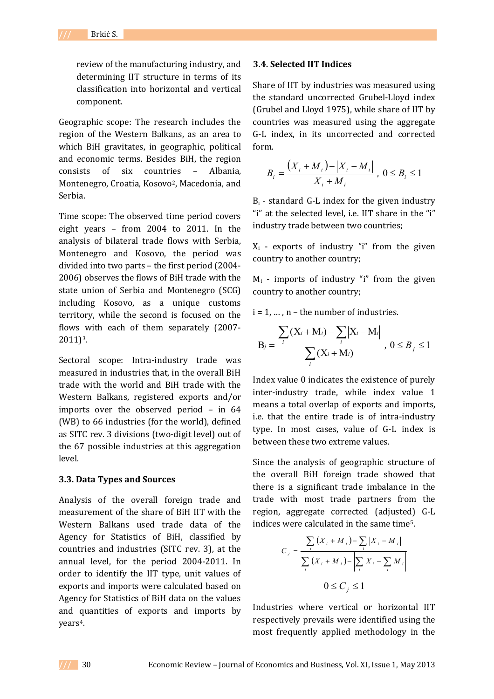review of the manufacturing industry, and determining IIT structure in terms of its classification into horizontal and vertical component.

Geographic scope: The research includes the region of the Western Balkans, as an area to which BiH gravitates, in geographic, political and economic terms. Besides BiH, the region consists of six countries – Albania, Montenegro, Croatia, Kosovo2, Macedonia, and Serbia.

Time scope: The observed time period covers eight years – from 2004 to 2011. In the analysis of bilateral trade flows with Serbia, Montenegro and Kosovo, the period was divided into two parts – the first period (2004- 2006) observes the flows of BiH trade with the state union of Serbia and Montenegro (SCG) including Kosovo, as a unique customs territory, while the second is focused on the flows with each of them separately (2007- 2011)3.

Sectoral scope: Intra-industry trade was measured in industries that, in the overall BiH trade with the world and BiH trade with the Western Balkans, registered exports and/or imports over the observed period – in 64 (WB) to 66 industries (for the world), defined as SITC rev. 3 divisions (two-digit level) out of the 67 possible industries at this aggregation level.

### **3.3. Data Types and Sources**

Analysis of the overall foreign trade and measurement of the share of BiH IIT with the Western Balkans used trade data of the Agency for Statistics of BiH, classified by countries and industries (SITC rev. 3), at the annual level, for the period 2004-2011. In order to identify the IIT type, unit values of exports and imports were calculated based on Agency for Statistics of BiH data on the values and quantities of exports and imports by years4.

#### **3.4. Selected IIT Indices**

Share of IIT by industries was measured using the standard uncorrected Grubel-Lloyd index (Grubel and Lloyd 1975), while share of IIT by countries was measured using the aggregate G-L index, in its uncorrected and corrected form.

$$
B_i = \frac{(X_i + M_i) - |X_i - M_i|}{X_i + M_i}, 0 \le B_i \le 1
$$

 $B_i$  - standard G-L index for the given industry "i" at the selected level, i.e. IIT share in the "i" industry trade between two countries;

 $X_i$  - exports of industry "i" from the given country to another country;

 $M_i$  - imports of industry "i" from the given country to another country;

 $i = 1, \ldots, n$  – the number of industries.

$$
B_{j} = \frac{\sum_{i} (X_{i} + M_{i}) - \sum_{i} |X_{i} - M_{i}|}{\sum_{i} (X_{i} + M_{i})}, 0 \leq B_{j} \leq 1
$$

Index value 0 indicates the existence of purely inter-industry trade, while index value 1 means a total overlap of exports and imports, i.e. that the entire trade is of intra-industry type. In most cases, value of G-L index is between these two extreme values.

Since the analysis of geographic structure of the overall BiH foreign trade showed that there is a significant trade imbalance in the trade with most trade partners from the region, aggregate corrected (adjusted) G-L indices were calculated in the same time5.

$$
C_j = \frac{\sum_{i} (X_i + M_i) - \sum_{i} |X_i - M_i|}{\sum_{i} (X_i + M_i) - \left| \sum_{i} X_i - \sum_{i} M_i \right|}
$$
  

$$
0 \le C_j \le 1
$$

Industries where vertical or horizontal IIT respectively prevails were identified using the most frequently applied methodology in the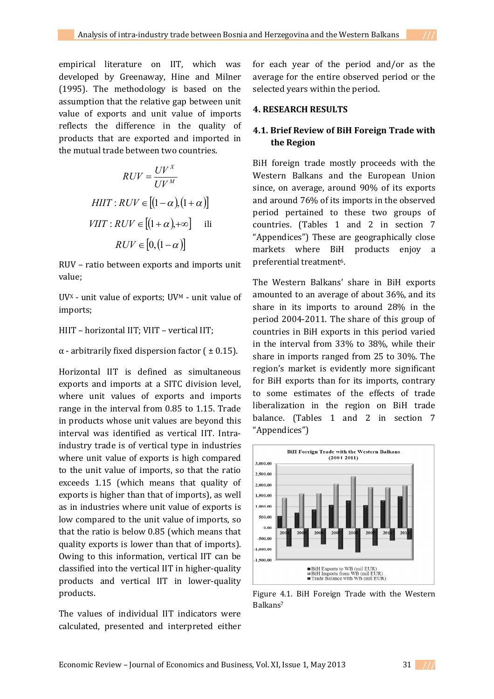empirical literature on IIT, which was developed by Greenaway, Hine and Milner (1995). The methodology is based on the assumption that the relative gap between unit value of exports and unit value of imports reflects the difference in the quality of products that are exported and imported in the mutual trade between two countries.

$$
RUV = \frac{UV^X}{UV^M}
$$
  
HIII': $RUV \in [(1-\alpha), (1+\alpha)]$   
VIII': $RUV \in [(1+\alpha), +\infty]$ ili  
 $RUV \in [0, (1-\alpha)]$ 

RUV – ratio between exports and imports unit value;

UVX - unit value of exports; UV<sup>M</sup> - unit value of imports;

## HIIT – horizontal IIT; VIIT – vertical IIT;

## $\alpha$  - arbitrarily fixed dispersion factor (  $\pm$  0.15).

Horizontal IIT is defined as simultaneous exports and imports at a SITC division level, where unit values of exports and imports range in the interval from 0.85 to 1.15. Trade in products whose unit values are beyond this interval was identified as vertical IIT. Intraindustry trade is of vertical type in industries where unit value of exports is high compared to the unit value of imports, so that the ratio exceeds 1.15 (which means that quality of exports is higher than that of imports), as well as in industries where unit value of exports is low compared to the unit value of imports, so that the ratio is below 0.85 (which means that quality exports is lower than that of imports). Owing to this information, vertical IIT can be classified into the vertical IIT in higher-quality products and vertical IIT in lower-quality products.

The values of individual IIT indicators were calculated, presented and interpreted either

for each year of the period and/or as the average for the entire observed period or the selected years within the period.

## **4. RESEARCH RESULTS**

## **4.1. Brief Review of BiH Foreign Trade with the Region**

BiH foreign trade mostly proceeds with the Western Balkans and the European Union since, on average, around 90% of its exports and around 76% of its imports in the observed period pertained to these two groups of countries. (Tables 1 and 2 in section 7 "Appendices") These are geographically close markets where BiH products enjoy a preferential treatment<sup>6</sup>.

The Western Balkans' share in BiH exports amounted to an average of about 36%, and its share in its imports to around 28% in the period 2004-2011. The share of this group of countries in BiH exports in this period varied in the interval from 33% to 38%, while their share in imports ranged from 25 to 30%. The region's market is evidently more significant for BiH exports than for its imports, contrary to some estimates of the effects of trade liberalization in the region on BiH trade balance. (Tables 1 and 2 in section 7 "Appendices")



Figure 4.1. BiH Foreign Trade with the Western Balkans7

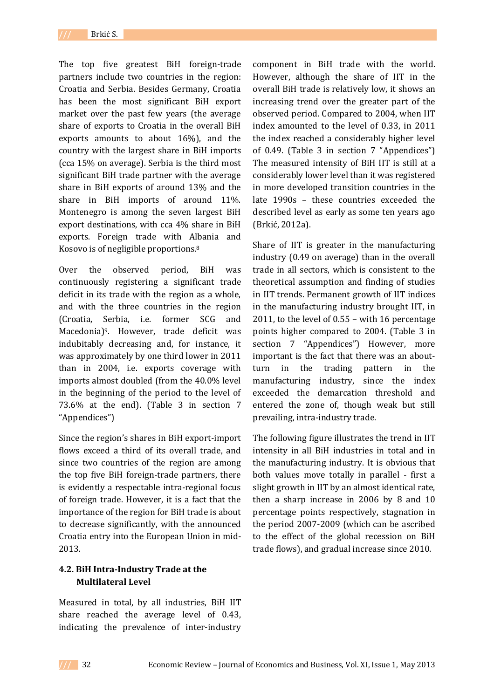The top five greatest BiH foreign-trade partners include two countries in the region: Croatia and Serbia. Besides Germany, Croatia has been the most significant BiH export market over the past few years (the average share of exports to Croatia in the overall BiH exports amounts to about 16%), and the country with the largest share in BiH imports (cca 15% on average). Serbia is the third most significant BiH trade partner with the average share in BiH exports of around 13% and the share in BiH imports of around 11%. Montenegro is among the seven largest BiH export destinations, with cca 4% share in BiH exports. Foreign trade with Albania and Kosovo is of negligible proportions.<sup>8</sup>

Over the observed period, BiH was continuously registering a significant trade deficit in its trade with the region as a whole, and with the three countries in the region (Croatia, Serbia, i.e. former SCG and Macedonia)9. However, trade deficit was indubitably decreasing and, for instance, it was approximately by one third lower in 2011 than in 2004, i.e. exports coverage with imports almost doubled (from the 40.0% level in the beginning of the period to the level of 73.6% at the end). (Table 3 in section 7 "Appendices")

Since the region's shares in BiH export-import flows exceed a third of its overall trade, and since two countries of the region are among the top five BiH foreign-trade partners, there is evidently a respectable intra-regional focus of foreign trade. However, it is a fact that the importance of the region for BiH trade is about to decrease significantly, with the announced Croatia entry into the European Union in mid-2013.

# **4.2. BiH Intra-Industry Trade at the Multilateral Level**

Measured in total, by all industries, BiH IIT share reached the average level of 0.43, indicating the prevalence of inter-industry

component in BiH trade with the world. However, although the share of IIT in the overall BiH trade is relatively low, it shows an increasing trend over the greater part of the observed period. Compared to 2004, when IIT index amounted to the level of 0.33, in 2011 the index reached a considerably higher level of 0.49. (Table 3 in section 7 "Appendices") The measured intensity of BiH IIT is still at a considerably lower level than it was registered in more developed transition countries in the late 1990s – these countries exceeded the described level as early as some ten years ago (Brkić, 2012a).

Share of IIT is greater in the manufacturing industry (0.49 on average) than in the overall trade in all sectors, which is consistent to the theoretical assumption and finding of studies in IIT trends. Permanent growth of IIT indices in the manufacturing industry brought IIT, in 2011, to the level of 0.55 – with 16 percentage points higher compared to 2004. (Table 3 in section 7 "Appendices") However, more important is the fact that there was an aboutturn in the trading pattern in the manufacturing industry, since the index exceeded the demarcation threshold and entered the zone of, though weak but still prevailing, intra-industry trade.

The following figure illustrates the trend in IIT intensity in all BiH industries in total and in the manufacturing industry. It is obvious that both values move totally in parallel - first a slight growth in IIT by an almost identical rate, then a sharp increase in 2006 by 8 and 10 percentage points respectively, stagnation in the period 2007-2009 (which can be ascribed to the effect of the global recession on BiH trade flows), and gradual increase since 2010.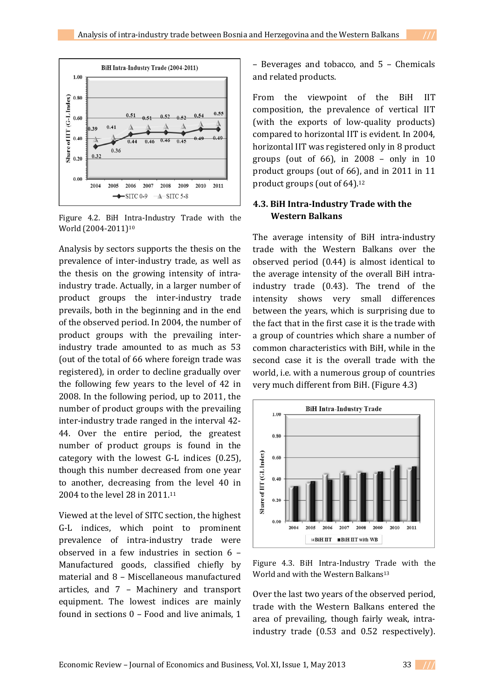

Figure 4.2. BiH Intra-Industry Trade with the World (2004-2011)<sup>10</sup>

Analysis by sectors supports the thesis on the prevalence of inter-industry trade, as well as the thesis on the growing intensity of intraindustry trade. Actually, in a larger number of product groups the inter-industry trade prevails, both in the beginning and in the end of the observed period. In 2004, the number of product groups with the prevailing interindustry trade amounted to as much as 53 (out of the total of 66 where foreign trade was registered), in order to decline gradually over the following few years to the level of 42 in 2008. In the following period, up to 2011, the number of product groups with the prevailing inter-industry trade ranged in the interval 42- 44. Over the entire period, the greatest number of product groups is found in the category with the lowest G-L indices (0.25), though this number decreased from one year to another, decreasing from the level 40 in 2004 to the level 28 in 2011.<sup>11</sup>

Viewed at the level of SITC section, the highest G-L indices, which point to prominent prevalence of intra-industry trade were observed in a few industries in section 6 – Manufactured goods, classified chiefly by material and 8 – Miscellaneous manufactured articles, and 7 – Machinery and transport equipment. The lowest indices are mainly found in sections 0 – Food and live animals, 1

– Beverages and tobacco, and 5 – Chemicals and related products.

From the viewpoint of the BiH IIT composition, the prevalence of vertical IIT (with the exports of low-quality products) compared to horizontal IIT is evident. In 2004, horizontal IIT was registered only in 8 product groups (out of 66), in 2008 – only in 10 product groups (out of 66), and in 2011 in 11 product groups (out of 64).<sup>12</sup>

## **4.3. BiH Intra-Industry Trade with the Western Balkans**

The average intensity of BiH intra-industry trade with the Western Balkans over the observed period (0.44) is almost identical to the average intensity of the overall BiH intraindustry trade (0.43). The trend of the intensity shows very small differences between the years, which is surprising due to the fact that in the first case it is the trade with a group of countries which share a number of common characteristics with BiH, while in the second case it is the overall trade with the world, i.e. with a numerous group of countries very much different from BiH. (Figure 4.3)



Figure 4.3. BiH Intra-Industry Trade with the World and with the Western Balkans<sup>13</sup>

Over the last two years of the observed period, trade with the Western Balkans entered the area of prevailing, though fairly weak, intraindustry trade (0.53 and 0.52 respectively).

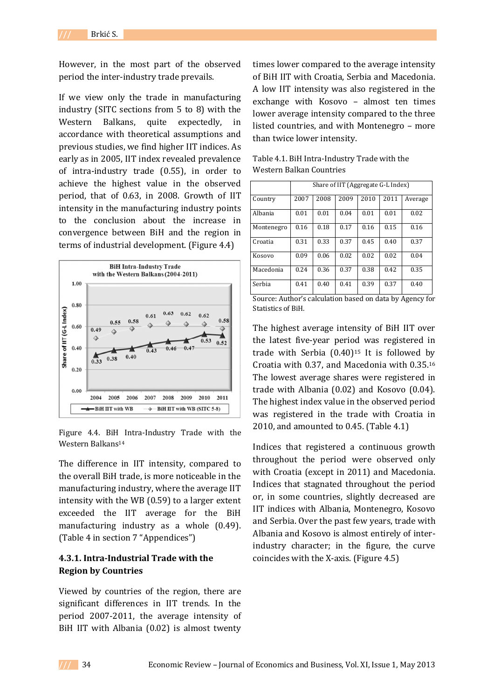However, in the most part of the observed period the inter-industry trade prevails.

If we view only the trade in manufacturing industry (SITC sections from 5 to 8) with the Western Balkans, quite expectedly, in accordance with theoretical assumptions and previous studies, we find higher IIT indices. As early as in 2005, IIT index revealed prevalence of intra-industry trade (0.55), in order to achieve the highest value in the observed period, that of 0.63, in 2008. Growth of IIT intensity in the manufacturing industry points to the conclusion about the increase in convergence between BiH and the region in terms of industrial development. (Figure 4.4)



Figure 4.4. BiH Intra-Industry Trade with the Western Balkans<sup>14</sup>

The difference in IIT intensity, compared to the overall BiH trade, is more noticeable in the manufacturing industry, where the average IIT intensity with the WB (0.59) to a larger extent exceeded the IIT average for the BiH manufacturing industry as a whole (0.49). (Table 4 in section 7 "Appendices")

## **4.3.1. Intra-Industrial Trade with the Region by Countries**

Viewed by countries of the region, there are significant differences in IIT trends. In the period 2007-2011, the average intensity of BiH IIT with Albania (0.02) is almost twenty

times lower compared to the average intensity of BiH IIT with Croatia, Serbia and Macedonia. A low IIT intensity was also registered in the exchange with Kosovo – almost ten times lower average intensity compared to the three listed countries, and with Montenegro – more than twice lower intensity.

|            |      |      | Share of IIT (Aggregate G-L Index) |      |      |         |
|------------|------|------|------------------------------------|------|------|---------|
| Country    | 2007 | 2008 | 2009                               | 2010 | 2011 | Average |
| Albania    | 0.01 | 0.01 | 0.04                               | 0.01 | 0.01 | 0.02    |
| Montenegro | 0.16 | 0.18 | 0.17                               | 0.16 | 0.15 | 0.16    |
| Croatia    | 0.31 | 0.33 | 0.37                               | 0.45 | 0.40 | 0.37    |
| Kosovo     | 0.09 | 0.06 | 0.02                               | 0.02 | 0.02 | 0.04    |
| Macedonia  | 0.24 | 0.36 | 0.37                               | 0.38 | 0.42 | 0.35    |
| Serbia     | 0.41 | 0.40 | 0.41                               | 0.39 | 0.37 | 0.40    |

Table 4.1. BiH Intra-Industry Trade with the Western Balkan Countries

The highest average intensity of BiH IIT over the latest five-year period was registered in trade with Serbia  $(0.40)$ <sup>15</sup> It is followed by Croatia with 0.37, and Macedonia with 0.35.<sup>16</sup> The lowest average shares were registered in trade with Albania (0.02) and Kosovo (0.04). The highest index value in the observed period was registered in the trade with Croatia in 2010, and amounted to 0.45. (Table 4.1)

Indices that registered a continuous growth throughout the period were observed only with Croatia (except in 2011) and Macedonia. Indices that stagnated throughout the period or, in some countries, slightly decreased are IIT indices with Albania, Montenegro, Kosovo and Serbia. Over the past few years, trade with Albania and Kosovo is almost entirely of interindustry character; in the figure, the curve coincides with the X-axis. (Figure 4.5)

Source: Author's calculation based on data by Agency for Statistics of BiH.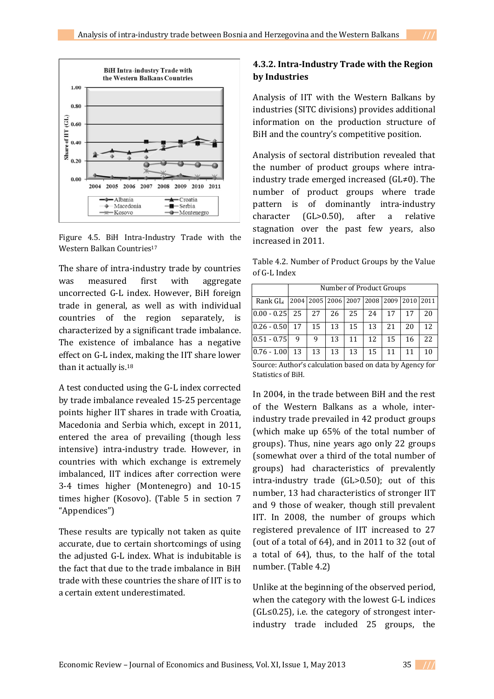

Figure 4.5. BiH Intra-Industry Trade with the Western Balkan Countries<sup>17</sup>

The share of intra-industry trade by countries was measured first with aggregate uncorrected G-L index. However, BiH foreign trade in general, as well as with individual countries of the region separately, is characterized by a significant trade imbalance. The existence of imbalance has a negative effect on G-L index, making the IIT share lower than it actually is.<sup>18</sup>

A test conducted using the G-L index corrected by trade imbalance revealed 15-25 percentage points higher IIT shares in trade with Croatia, Macedonia and Serbia which, except in 2011, entered the area of prevailing (though less intensive) intra-industry trade. However, in countries with which exchange is extremely imbalanced, IIT indices after correction were 3-4 times higher (Montenegro) and 10-15 times higher (Kosovo). (Table 5 in section 7 "Appendices")

These results are typically not taken as quite accurate, due to certain shortcomings of using the adjusted G-L index. What is indubitable is the fact that due to the trade imbalance in BiH trade with these countries the share of IIT is to a certain extent underestimated.

## **4.3.2. Intra-Industry Trade with the Region by Industries**

Analysis of IIT with the Western Balkans by industries (SITC divisions) provides additional information on the production structure of BiH and the country's competitive position.

Analysis of sectoral distribution revealed that the number of product groups where intraindustry trade emerged increased (GL≠0). The number of product groups where trade pattern is of dominantly intra-industry character (GL>0.50), after a relative stagnation over the past few years, also increased in 2011.

Table 4.2. Number of Product Groups by the Value of G-L Index

|                                                               |    | Number of Product Groups |    |                                         |    |    |      |      |  |  |  |  |  |  |
|---------------------------------------------------------------|----|--------------------------|----|-----------------------------------------|----|----|------|------|--|--|--|--|--|--|
| Rank GL <sub>i</sub>                                          |    |                          |    | 2004   2005   2006   2007   2008   2009 |    |    | 2010 | 2011 |  |  |  |  |  |  |
| $0.00 - 0.25$                                                 | 25 | 27                       | 26 | 25                                      | 24 | 17 | 17   | 20   |  |  |  |  |  |  |
| $0.26 - 0.50$                                                 | 17 | 15                       | 13 | 15                                      | 13 | 21 | 20   | 12   |  |  |  |  |  |  |
| $0.51 - 0.75$                                                 | 9  | 9                        | 13 | 11                                      | 12 | 15 | 16   | 22.  |  |  |  |  |  |  |
| $0.76 - 1.00$<br>13<br>13<br>13<br>11<br>15<br>10<br>13<br>11 |    |                          |    |                                         |    |    |      |      |  |  |  |  |  |  |
| Source: Author's calculation based on data by Agency for      |    |                          |    |                                         |    |    |      |      |  |  |  |  |  |  |

Source: Author's calculation based on data by Agency for Statistics of BiH.

In 2004, in the trade between BiH and the rest of the Western Balkans as a whole, interindustry trade prevailed in 42 product groups (which make up 65% of the total number of groups). Thus, nine years ago only 22 groups (somewhat over a third of the total number of groups) had characteristics of prevalently intra-industry trade (GL>0.50); out of this number, 13 had characteristics of stronger IIT and 9 those of weaker, though still prevalent IIT. In 2008, the number of groups which registered prevalence of IIT increased to 27 (out of a total of 64), and in 2011 to 32 (out of a total of 64), thus, to the half of the total number. (Table 4.2)

Unlike at the beginning of the observed period, when the category with the lowest G-L indices (GL≤0.25), i.e. the category of strongest interindustry trade included 25 groups, the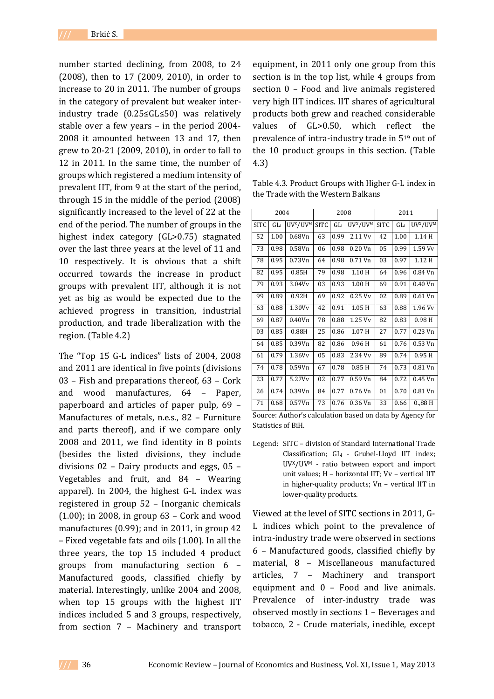number started declining, from 2008, to 24 (2008), then to 17 (2009, 2010), in order to increase to 20 in 2011. The number of groups in the category of prevalent but weaker interindustry trade (0.25≤GL≤50) was relatively stable over a few years – in the period 2004- 2008 it amounted between 13 and 17, then grew to 20-21 (2009, 2010), in order to fall to 12 in 2011. In the same time, the number of groups which registered a medium intensity of prevalent IIT, from 9 at the start of the period, through 15 in the middle of the period (2008) significantly increased to the level of 22 at the end of the period. The number of groups in the highest index category (GL>0.75) stagnated over the last three years at the level of 11 and 10 respectively. It is obvious that a shift occurred towards the increase in product groups with prevalent IIT, although it is not yet as big as would be expected due to the achieved progress in transition, industrial production, and trade liberalization with the region. (Table 4.2)

The "Top 15 G-L indices" lists of 2004, 2008 and 2011 are identical in five points (divisions 03 – Fish and preparations thereof, 63 – Cork and wood manufactures, 64 – Paper, paperboard and articles of paper pulp, 69 – Manufactures of metals, n.e.s., 82 – Furniture and parts thereof), and if we compare only 2008 and 2011, we find identity in 8 points (besides the listed divisions, they include divisions 02 – Dairy products and eggs, 05 – Vegetables and fruit, and 84 – Wearing apparel). In 2004, the highest G-L index was registered in group 52 – Inorganic chemicals (1.00); in 2008, in group 63 – Cork and wood manufactures (0.99); and in 2011, in group 42 – Fixed vegetable fats and oils (1.00). In all the three years, the top 15 included 4 product groups from manufacturing section 6 – Manufactured goods, classified chiefly by material. Interestingly, unlike 2004 and 2008, when top 15 groups with the highest IIT indices included 5 and 3 groups, respectively, from section 7 – Machinery and transport

equipment, in 2011 only one group from this section is in the top list, while 4 groups from section 0 – Food and live animals registered very high IIT indices. IIT shares of agricultural products both grew and reached considerable values of GL>0.50, which reflect the prevalence of intra-industry trade in 5<sup>19</sup> out of the 10 product groups in this section. (Table 4.3)

Table 4.3. Product Groups with Higher G-L index in the Trade with the Western Balkans

|             | 2004   |                                  |             | 2008   |                                  |             | 2011   |                                  |
|-------------|--------|----------------------------------|-------------|--------|----------------------------------|-------------|--------|----------------------------------|
| <b>SITC</b> | $GL_i$ | UV <sup>x</sup> /UV <sup>M</sup> | <b>SITC</b> | $GL_i$ | UV <sup>x</sup> /UV <sup>M</sup> | <b>SITC</b> | $GL_i$ | UV <sup>x</sup> /UV <sup>M</sup> |
| 52          | 1.00   | 0.68V <sub>n</sub>               | 63          | 0.99   | 2.11 Vv                          | 42          | 1.00   | 1.14 H                           |
| 73          | 0.98   | 0.58Vn                           | 06          | 0.98   | $0.20$ Vn                        | 05          | 0.99   | 1.59 Vv                          |
| 78          | 0.95   | 0.73Vn                           | 64          | 0.98   | $0.71$ Vn                        | 03          | 0.97   | 1.12 H                           |
| 82          | 0.95   | 0.85H                            | 79          | 0.98   | 1.10 H                           | 64          | 0.96   | $0.84$ Vn                        |
| 79          | 0.93   | 3.04Vv                           | 03          | 0.93   | 1.00 <sub>H</sub>                | 69          | 0.91   | $0.40V$ n                        |
| 99          | 0.89   | 0.92H                            | 69          | 0.92   | $0.25$ Vy                        | 02          | 0.89   | 0.61 Vn                          |
| 63          | 0.88   | 1.30Vv                           | 42          | 0.91   | $1.05$ H                         | 63          | 0.88   | $1.96$ Vv                        |
| 69          | 0.87   | 0.40Vn                           | 78          | 0.88   | 1.25 Vv                          | 82          | 0.83   | 0.98H                            |
| 03          | 0.85   | 0.88H                            | 25          | 0.86   | 1.07H                            | 27          | 0.77   | $0.23$ Vn                        |
| 64          | 0.85   | 0.39Vn                           | 82          | 0.86   | 0.96 <sub>H</sub>                | 61          | 0.76   | 0.53 Vn                          |
| 61          | 0.79   | 1.36Vv                           | 05          | 0.83   | 2.34 Vv                          | 89          | 0.74   | 0.95H                            |
| 74          | 0.78   | 0.59Vn                           | 67          | 0.78   | 0.85H                            | 74          | 0.73   | $0.81$ Vn                        |
| 23          | 0.77   | 5.27Vv                           | 02          | 0.77   | $0.59$ Vn                        | 84          | 0.72   | $0.45$ Vn                        |
| 26          | 0.74   | 0.39Vn                           | 84          | 0.77   | $0.76$ Vn                        | 01          | 0.70   | $0.81$ Vn                        |
| 71          | 0.68   | 0.57Vn                           | 73          | 0.76   | 0.36 Vn                          | 33          | 0.66   | 0.88H                            |

Source: Author's calculation based on data by Agency for Statistics of BiH.

Legend: SITC – division of Standard International Trade Classification; GLi - Grubel-Lloyd IIT index; UVX/UV<sup>M</sup> - ratio between export and import unit values; H – horizontal IIT; Vv – vertical IIT in higher-quality products; Vn – vertical IIT in lower-quality products.

Viewed at the level of SITC sections in 2011, G-L indices which point to the prevalence of intra-industry trade were observed in sections 6 – Manufactured goods, classified chiefly by material, 8 – Miscellaneous manufactured articles, 7 – Machinery and transport equipment and 0 – Food and live animals. Prevalence of inter-industry trade was observed mostly in sections 1 – Beverages and tobacco, 2 - Crude materials, inedible, except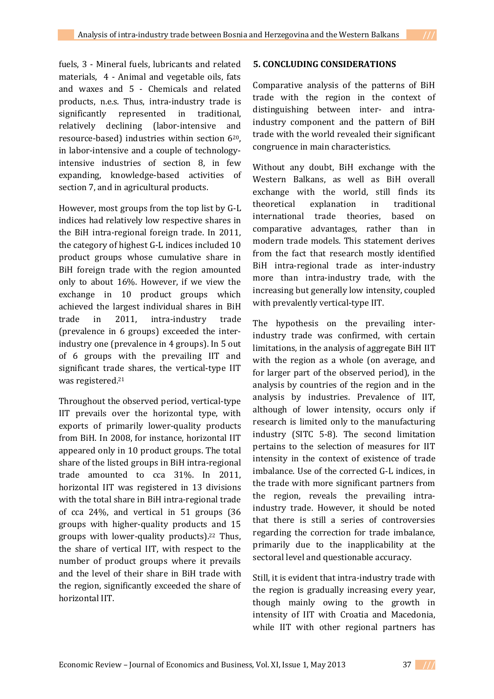fuels, 3 - Mineral fuels, lubricants and related materials, 4 - Animal and vegetable oils, fats and waxes and 5 - Chemicals and related products, n.e.s. Thus, intra-industry trade is significantly represented in traditional, relatively declining (labor-intensive and resource-based) industries within section 620, in labor-intensive and a couple of technologyintensive industries of section 8, in few expanding, knowledge-based activities of section 7, and in agricultural products.

However, most groups from the top list by G-L indices had relatively low respective shares in the BiH intra-regional foreign trade. In 2011, the category of highest G-L indices included 10 product groups whose cumulative share in BiH foreign trade with the region amounted only to about 16%. However, if we view the exchange in 10 product groups which achieved the largest individual shares in BiH trade in 2011, intra-industry trade (prevalence in 6 groups) exceeded the interindustry one (prevalence in 4 groups). In 5 out of 6 groups with the prevailing IIT and significant trade shares, the vertical-type IIT was registered.<sup>21</sup>

Throughout the observed period, vertical-type IIT prevails over the horizontal type, with exports of primarily lower-quality products from BiH. In 2008, for instance, horizontal IIT appeared only in 10 product groups. The total share of the listed groups in BiH intra-regional trade amounted to cca 31%. In 2011, horizontal IIT was registered in 13 divisions with the total share in BiH intra-regional trade of cca 24%, and vertical in 51 groups (36 groups with higher-quality products and 15 groups with lower-quality products).<sup>22</sup> Thus, the share of vertical IIT, with respect to the number of product groups where it prevails and the level of their share in BiH trade with the region, significantly exceeded the share of horizontal IIT.

## **5. CONCLUDING CONSIDERATIONS**

Comparative analysis of the patterns of BiH trade with the region in the context of distinguishing between inter- and intraindustry component and the pattern of BiH trade with the world revealed their significant congruence in main characteristics.

Without any doubt, BiH exchange with the Western Balkans, as well as BiH overall exchange with the world, still finds its theoretical explanation in traditional international trade theories, based on comparative advantages, rather than in modern trade models. This statement derives from the fact that research mostly identified BiH intra-regional trade as inter-industry more than intra-industry trade, with the increasing but generally low intensity, coupled with prevalently vertical-type IIT.

The hypothesis on the prevailing interindustry trade was confirmed, with certain limitations, in the analysis of aggregate BiH IIT with the region as a whole (on average, and for larger part of the observed period), in the analysis by countries of the region and in the analysis by industries. Prevalence of IIT, although of lower intensity, occurs only if research is limited only to the manufacturing industry (SITC 5-8). The second limitation pertains to the selection of measures for IIT intensity in the context of existence of trade imbalance. Use of the corrected G-L indices, in the trade with more significant partners from the region, reveals the prevailing intraindustry trade. However, it should be noted that there is still a series of controversies regarding the correction for trade imbalance, primarily due to the inapplicability at the sectoral level and questionable accuracy.

Still, it is evident that intra-industry trade with the region is gradually increasing every year, though mainly owing to the growth in intensity of IIT with Croatia and Macedonia, while IIT with other regional partners has

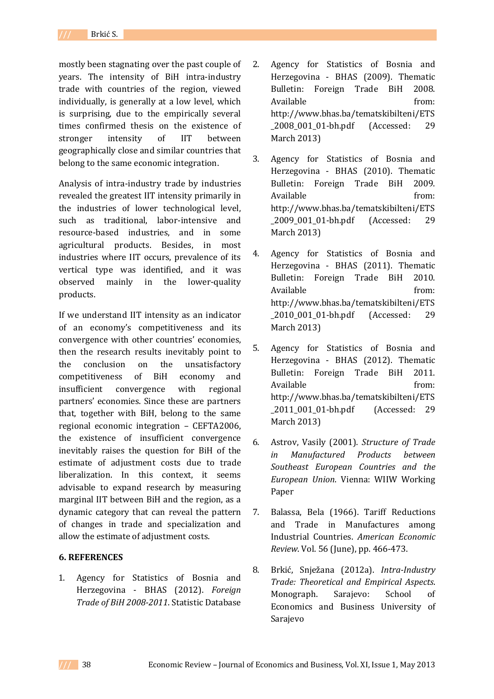mostly been stagnating over the past couple of years. The intensity of BiH intra-industry trade with countries of the region, viewed individually, is generally at a low level, which is surprising, due to the empirically several times confirmed thesis on the existence of stronger intensity of IIT between geographically close and similar countries that belong to the same economic integration.

Analysis of intra-industry trade by industries revealed the greatest IIT intensity primarily in the industries of lower technological level, such as traditional, labor-intensive and resource-based industries, and in some agricultural products. Besides, in most industries where IIT occurs, prevalence of its vertical type was identified, and it was observed mainly in the lower-quality products.

If we understand IIT intensity as an indicator of an economy's competitiveness and its convergence with other countries' economies, then the research results inevitably point to the conclusion on the unsatisfactory competitiveness of BiH economy and insufficient convergence with regional partners' economies. Since these are partners that, together with BiH, belong to the same regional economic integration – CEFTA2006, the existence of insufficient convergence inevitably raises the question for BiH of the estimate of adjustment costs due to trade liberalization. In this context, it seems advisable to expand research by measuring marginal IIT between BiH and the region, as a dynamic category that can reveal the pattern of changes in trade and specialization and allow the estimate of adjustment costs.

### **6. REFERENCES**

1. Agency for Statistics of Bosnia and Herzegovina - BHAS (2012). *Foreign Trade of BiH 2008-2011*. Statistic Database

- 2. Agency for Statistics of Bosnia and Herzegovina - BHAS (2009). Thematic Bulletin: Foreign Trade BiH 2008. Available from: http://www.bhas.ba/tematskibilteni/ETS \_2008\_001\_01-bh.pdf (Accessed: 29 March 2013)
- 3. Agency for Statistics of Bosnia and Herzegovina - BHAS (2010). Thematic Bulletin: Foreign Trade BiH 2009. Available from: http://www.bhas.ba/tematskibilteni/ETS \_2009\_001\_01-bh.pdf (Accessed: 29 March 2013)
- 4. Agency for Statistics of Bosnia and Herzegovina - BHAS (2011). Thematic Bulletin: Foreign Trade BiH 2010. Available from: http://www.bhas.ba/tematskibilteni/ETS \_2010\_001\_01-bh.pdf (Accessed: 29 March 2013)
- 5. Agency for Statistics of Bosnia and Herzegovina - BHAS (2012). Thematic Bulletin: Foreign Trade BiH 2011. Available from: http://www.bhas.ba/tematskibilteni/ETS \_2011\_001\_01-bh.pdf (Accessed: 29 March 2013)
- 6. Astrov, Vasily (2001). *Structure of Trade in Manufactured Products between Southeast European Countries and the European Union*. Vienna: WIIW Working Paper
- 7. Balassa, Bela (1966). Tariff Reductions and Trade in Manufactures among Industrial Countries. *American Economic Review*. Vol. 56 (June), pp. 466-473.
- 8. Brkić, Snježana (2012a). *Intra-Industry Trade: Theoretical and Empirical Aspects*. Monograph. Sarajevo: School of Economics and Business University of Sarajevo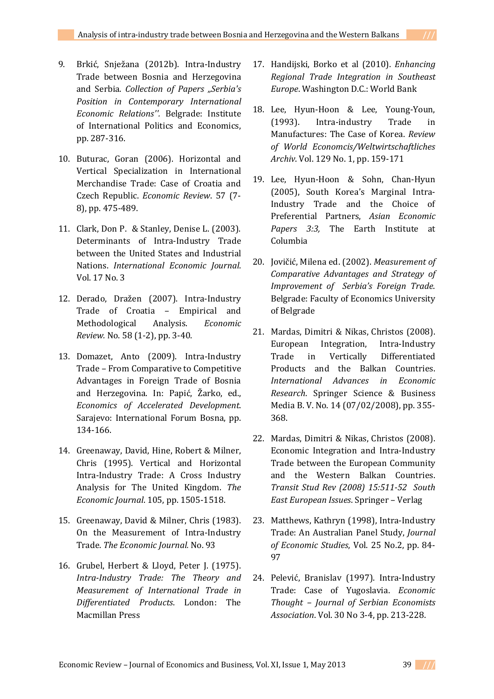- 9. Brkić, Snježana (2012b). Intra-Industry Trade between Bosnia and Herzegovina and Serbia. *Collection of Papers "Serbia's Position in Contemporary International Economic Relations''.* Belgrade: Institute of International Politics and Economics, pp. 287-316.
- 10. Buturac, Goran (2006). Horizontal and Vertical Specialization in International Merchandise Trade: Case of Croatia and Czech Republic. *Economic Review*. 57 (7- 8), pp. 475-489.
- 11. Clark, Don P. & Stanley, Denise L. (2003). Determinants of Intra-Industry Trade between the United States and Industrial Nations. *International Economic Journal*. Vol. 17 No. 3
- 12. Derado, Dražen (2007). Intra-Industry Trade of Croatia – Empirical and Methodological Analysis. *Economic Review.* No. 58 (1-2), pp. 3-40.
- 13. Domazet, Anto (2009). Intra-Industry Trade – From Comparative to Competitive Advantages in Foreign Trade of Bosnia and Herzegovina. In: Papić, Žarko, ed., *Economics of Accelerated Development*. Sarajevo: International Forum Bosna, pp. 134-166.
- 14. Greenaway, David, Hine, Robert & Milner, Chris (1995). Vertical and Horizontal Intra-Industry Trade: A Cross Industry Analysis for The United Kingdom. *The Economic Journal*. 105, pp. 1505-1518.
- 15. Greenaway, David & Milner, Chris (1983). On the Measurement of Intra-Industry Trade. *The Economic Journal.* No. 93
- 16. Grubel, Herbert & Lloyd, Peter J. (1975). *Intra-Industry Trade: The Theory and Measurement of International Trade in Differentiated Products*. London: The Macmillan Press
- 17. Handijski, Borko et al (2010). *Enhancing Regional Trade Integration in Southeast Europe*. Washington D.C.: World Bank
- 18. Lee, Hyun-Hoon & Lee, Young-Youn, (1993). Intra-industry Trade in Manufactures: The Case of Korea. *Review of World Economcis/Weltwirtschaftliches Archiv*. Vol. 129 No. 1, pp. 159-171
- 19. Lee, Hyun-Hoon & Sohn, Chan-Hyun (2005), South Korea's Marginal Intra-Industry Trade and the Choice of Preferential Partners, *Asian Economic Papers 3:3,* The Earth Institute at Columbia
- 20. Jovičić, Milena ed. (2002). *Measurement of Comparative Advantages and Strategy of Improvement of Serbia's Foreign Trade*. Belgrade: Faculty of Economics University of Belgrade
- 21. Mardas, Dimitri & Nikas, Christos (2008). European Integration, Intra-Industry Trade in Vertically Differentiated Products and the Balkan Countries. *International Advances in Economic Research*. Springer Science & Business Media B. V. No. 14 (07/02/2008), pp. 355- 368.
- 22. Mardas, Dimitri & Nikas, Christos (2008). Economic Integration and Intra-Industry Trade between the European Community and the Western Balkan Countries. *Transit Stud Rev (2008) 15:511-52 South East European Issues*. Springer – Verlag
- 23. Matthews, Kathryn (1998), Intra-Industry Trade: An Australian Panel Study, *Journal of Economic Studies*, Vol. 25 No.2, pp. 84- 97
- 24. Pelević, Branislav (1997). Intra-Industry Trade: Case of Yugoslavia. *Economic Thought – Journal of Serbian Economists Association*. Vol. 30 No 3-4, pp. 213-228.

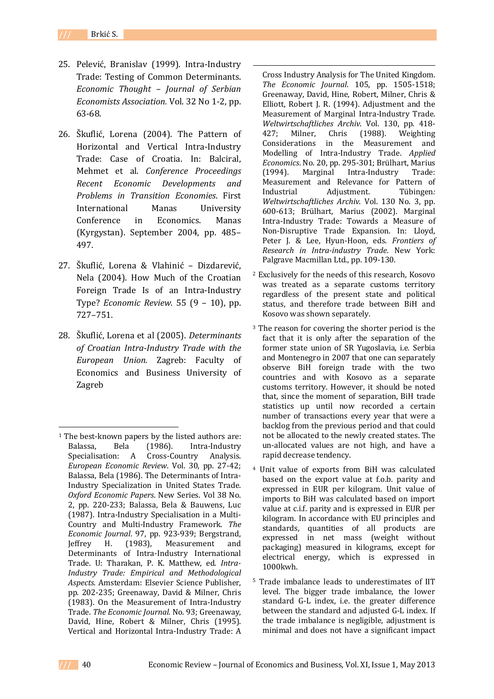25. Pelević, Branislav (1999). Intra-Industry Trade: Testing of Common Determinants. *Economic Thought – Journal of Serbian Economists Association.* Vol. 32 No 1-2, pp. 63-68.

**.** 

- 26. Škuflić, Lorena (2004). The Pattern of Horizontal and Vertical Intra-Industry Trade: Case of Croatia. In: Balciral, Mehmet et al. *Conference Proceedings Recent Economic Developments and Problems in Transition Economies*. First International Manas University Conference in Economics. Manas (Kyrgystan). September 2004, pp. 485– 497.
- 27. Škuflić, Lorena & Vlahinić Dizdarević, Nela (2004). How Much of the Croatian Foreign Trade Is of an Intra-Industry Type? *Economic Review*. 55 (9 – 10), pp. 727–751.
- 28. Škuflić, Lorena et al (2005). *Determinants of Croatian Intra-Industry Trade with the European Union.* Zagreb: Faculty of Economics and Business University of Zagreb

Cross Industry Analysis for The United Kingdom. *The Economic Journal*. 105, pp. 1505-1518; Greenaway, David, Hine, Robert, Milner, Chris & Elliott, Robert J. R. (1994). Adjustment and the Measurement of Marginal Intra-Industry Trade. *Weltwirtschaftliches Archiv*. Vol. 130, pp. 418- 427; Milner, Chris (1988). Weighting Considerations in the Measurement and Modelling of Intra-Industry Trade. *Applied Economics*. No. 20, pp. 295-301; Brülhart, Marius (1994). Marginal Intra-Industry Trade: Measurement and Relevance for Pattern of<br>Industrial Adiustment. Tübingen: Industrial Adjustment. Tübingen*: Weltwirtschaftliches Archiv*. Vol. 130 No. 3, pp. 600-613; Brülhart, Marius (2002). Marginal Intra-Industry Trade: Towards a Measure of Non-Disruptive Trade Expansion. In: Lloyd, Peter J. & Lee, Hyun-Hoon, eds. *Frontiers of Research in Intra-industry Trade*. New York: Palgrave Macmillan Ltd., pp. 109-130.

- <sup>2</sup> Exclusively for the needs of this research, Kosovo was treated as a separate customs territory regardless of the present state and political status, and therefore trade between BiH and Kosovo was shown separately.
- <sup>3</sup> The reason for covering the shorter period is the fact that it is only after the separation of the former state union of SR Yugoslavia, i.e. Serbia and Montenegro in 2007 that one can separately observe BiH foreign trade with the two countries and with Kosovo as a separate customs territory. However, it should be noted that, since the moment of separation, BiH trade statistics up until now recorded a certain number of transactions every year that were a backlog from the previous period and that could not be allocated to the newly created states. The un-allocated values are not high, and have a rapid decrease tendency.
- <sup>4</sup> Unit value of exports from BiH was calculated based on the export value at f.o.b. parity and expressed in EUR per kilogram. Unit value of imports to BiH was calculated based on import value at c.i.f. parity and is expressed in EUR per kilogram. In accordance with EU principles and standards, quantities of all products are expressed in net mass (weight without packaging) measured in kilograms, except for electrical energy, which is expressed in 1000kwh.
- <sup>5</sup> Trade imbalance leads to underestimates of IIT level. The bigger trade imbalance, the lower standard G-L index, i.e. the greater difference between the standard and adjusted G-L index. If the trade imbalance is negligible, adjustment is minimal and does not have a significant impact

 $\overline{a}$ 

<sup>&</sup>lt;sup>1</sup> The best-known papers by the listed authors are: Balassa, Bela (1986). Intra-Industry Specialisation: A Cross-Country Analysis. *European Economic Review*. Vol. 30, pp. 27-42; Balassa, Bela (1986). The Determinants of Intra-Industry Specialization in United States Trade. *Oxford Economic Papers*. New Series. Vol 38 No. 2, pp. 220-233; Balassa, Bela & Bauwens, Luc (1987). Intra-Industry Specialisation in a Multi-Country and Multi-Industry Framework. *The Economic Journal*. 97, pp. 923-939; Bergstrand, Jeffrey H. (1983), Measurement and Determinants of Intra-Industry International Trade. U: Tharakan, P. K. Matthew, ed. *Intra-Industry Trade: Empirical and Methodological Aspects*. Amsterdam: Elsevier Science Publisher, pp. 202-235; Greenaway, David & Milner, Chris (1983). On the Measurement of Intra-Industry Trade. *The Economic Journal.* No. 93; Greenaway, David, Hine, Robert & Milner, Chris (1995). Vertical and Horizontal Intra-Industry Trade: A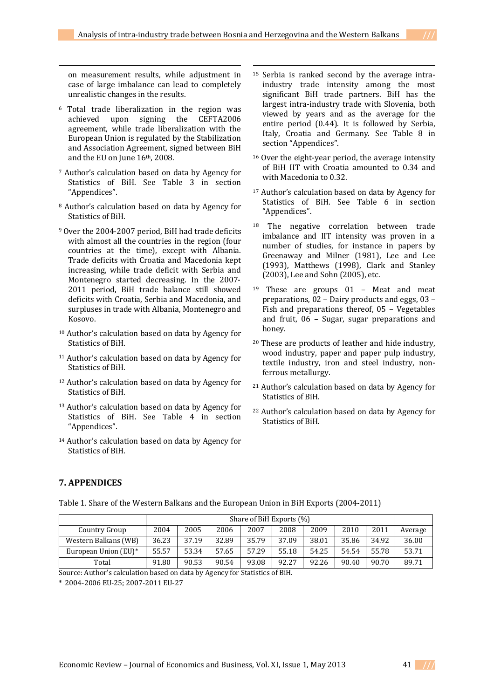**.** 

on measurement results, while adjustment in case of large imbalance can lead to completely unrealistic changes in the results.

**.** 

- <sup>6</sup> Total trade liberalization in the region was achieved upon signing the CEFTA2006 agreement, while trade liberalization with the European Union is regulated by the Stabilization and Association Agreement, signed between BiH and the EU on June 16th, 2008.
- <sup>7</sup> Author's calculation based on data by Agency for Statistics of BiH. See Table 3 in section "Appendices".
- <sup>8</sup> Author's calculation based on data by Agency for Statistics of BiH.
- <sup>9</sup> Over the 2004-2007 period, BiH had trade deficits with almost all the countries in the region (four countries at the time), except with Albania. Trade deficits with Croatia and Macedonia kept increasing, while trade deficit with Serbia and Montenegro started decreasing. In the 2007- 2011 period, BiH trade balance still showed deficits with Croatia, Serbia and Macedonia, and surpluses in trade with Albania, Montenegro and Kosovo.
- <sup>10</sup> Author's calculation based on data by Agency for Statistics of BiH.
- <sup>11</sup> Author's calculation based on data by Agency for Statistics of BiH.
- <sup>12</sup> Author's calculation based on data by Agency for Statistics of BiH.
- <sup>13</sup> Author's calculation based on data by Agency for Statistics of BiH. See Table 4 in section "Appendices".
- <sup>14</sup> Author's calculation based on data by Agency for Statistics of BiH.
- <sup>15</sup> Serbia is ranked second by the average intraindustry trade intensity among the most significant BiH trade partners. BiH has the largest intra-industry trade with Slovenia, both viewed by years and as the average for the entire period (0.44). It is followed by Serbia, Italy, Croatia and Germany. See Table 8 in section "Appendices".
- <sup>16</sup> Over the eight-year period, the average intensity of BiH IIT with Croatia amounted to 0.34 and with Macedonia to 0.32.
- <sup>17</sup> Author's calculation based on data by Agency for Statistics of BiH. See Table 6 in section "Appendices".
- <sup>18</sup> The negative correlation between trade imbalance and IIT intensity was proven in a number of studies, for instance in papers by Greenaway and Milner (1981), Lee and Lee (1993), Matthews (1998), Clark and Stanley (2003), Lee and Sohn (2005), etc.
- <sup>19</sup> These are groups 01 Meat and meat preparations, 02 – Dairy products and eggs, 03 – Fish and preparations thereof, 05 – Vegetables and fruit, 06 – Sugar, sugar preparations and honey.
- <sup>20</sup> These are products of leather and hide industry, wood industry, paper and paper pulp industry, textile industry, iron and steel industry, nonferrous metallurgy.
- <sup>21</sup> Author's calculation based on data by Agency for Statistics of BiH.
- <sup>22</sup> Author's calculation based on data by Agency for Statistics of BiH.

### **7. APPENDICES**

Table 1. Share of the Western Balkans and the European Union in BiH Exports (2004-2011)

|                      |       | Share of BiH Exports (%) |       |       |       |       |       |       |         |  |  |  |  |
|----------------------|-------|--------------------------|-------|-------|-------|-------|-------|-------|---------|--|--|--|--|
| Country Group        | 2004  | 2005                     | 2006  | 2007  | 2008  | 2009  | 2010  | 2011  | Average |  |  |  |  |
| Western Balkans (WB) | 36.23 | 37.19                    | 32.89 | 35.79 | 37.09 | 38.01 | 35.86 | 34.92 | 36.00   |  |  |  |  |
| European Union (EU)* | 55.57 | 53.34                    | 57.65 | 57.29 | 55.18 | 54.25 | 54.54 | 55.78 | 53.71   |  |  |  |  |
| Total                | 91.80 | 90.53                    | 90.54 | 93.08 | 92.27 | 92.26 | 90.40 | 90.70 | 89.71   |  |  |  |  |

Source: Author's calculation based on data by Agency for Statistics of BiH.

\* 2004-2006 EU-25; 2007-2011 EU-27

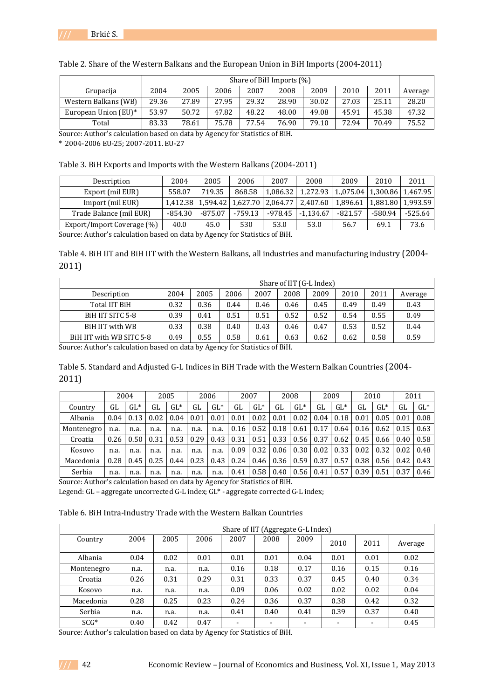

|                      |       | Share of BiH Imports (%) |       |       |       |       |       |       |         |  |  |  |  |
|----------------------|-------|--------------------------|-------|-------|-------|-------|-------|-------|---------|--|--|--|--|
| Grupacija            | 2004  | 2005                     | 2006  | 2007  | 2008  | 2009  | 2010  | 2011  | Average |  |  |  |  |
| Western Balkans (WB) | 29.36 | 27.89                    | 27.95 | 29.32 | 28.90 | 30.02 | 27.03 | 25.11 | 28.20   |  |  |  |  |
| European Union (EU)* | 53.97 | 50.72                    | 47.82 | 48.22 | 48.00 | 49.08 | 45.91 | 45.38 | 47.32   |  |  |  |  |
| Total                | 83.33 | 78.61                    | 75.78 | 77.54 | 76.90 | 79.10 | 72.94 | 70.49 | 75.52   |  |  |  |  |

Table 2. Share of the Western Balkans and the European Union in BiH Imports (2004-2011)

Source: Author's calculation based on data by Agency for Statistics of BiH.

\* 2004-2006 EU-25; 2007-2011. EU-27

Table 3. BiH Exports and Imports with the Western Balkans (2004-2011)

| Description                | 2004                                  | 2005                | 2006      | 2007     | 2008                | 2009                           | 2010    | 2011                |  |  |  |
|----------------------------|---------------------------------------|---------------------|-----------|----------|---------------------|--------------------------------|---------|---------------------|--|--|--|
|                            |                                       |                     |           |          |                     |                                |         |                     |  |  |  |
| Export (mil EUR)           | 558.07                                | 719.35              | 868.58    | 1,086.32 | 1.272.93            | 1,075.04   1,300.86   1,467.95 |         |                     |  |  |  |
| Import (mil EUR)           |                                       | 1.412.38   1.594.42 | 1.627.70  |          | 2.064.77   2.407.60 | 1.896.61                       |         | 1.881.80   1.993.59 |  |  |  |
| Trade Balance (mil EUR)    | $-854.30$                             | $-875.07$           | $-759.13$ | -978.45  | $-1.134.67$         | $-821.57$                      | -580.94 | -525.64             |  |  |  |
| Export/Import Coverage (%) | 40.0                                  | 45.0                | 530       | 53.0     | 53.0                | 56.7                           | 69.1    | 73.6                |  |  |  |
|                            | COUNTRIES AND INTERNATIONAL COUNTRIES |                     |           |          |                     |                                |         |                     |  |  |  |

Source: Author's calculation based on data by Agency for Statistics of BiH.

Table 4. BiH IIT and BiH IIT with the Western Balkans, all industries and manufacturing industry (2004- 2011)

|                          | Share of IIT (G-L Index) |      |      |      |      |      |      |      |         |  |
|--------------------------|--------------------------|------|------|------|------|------|------|------|---------|--|
| Description              | 2004                     | 2005 | 2006 | 2007 | 2008 | 2009 | 2010 | 2011 | Average |  |
| Total IIT BiH            | 0.32                     | 0.36 | 0.44 | 0.46 | 0.46 | 0.45 | 0.49 | 0.49 | 0.43    |  |
| BIH IIT SITC 5-8         | 0.39                     | 0.41 | 0.51 | 0.51 | 0.52 | 0.52 | 0.54 | 0.55 | 0.49    |  |
| BiH IIT with WB          | 0.33                     | 0.38 | 0.40 | 0.43 | 0.46 | 0.47 | 0.53 | 0.52 | 0.44    |  |
| BiH IIT with WB SITC 5-8 | 0.49                     | 0.55 | 0.58 | 0.61 | 0.63 | 0.62 | 0.62 | 0.58 | 0.59    |  |

Source: Author's calculation based on data by Agency for Statistics of BiH.

Table 5. Standard and Adjusted G-L Indices in BiH Trade with the Western Balkan Countries (2004- 2011)

|            |      | 2004   |      | 2005   |      | 2006   | 2007 |        |      | 2008   |      | 2009   |      | 2010   |      | 2011   |
|------------|------|--------|------|--------|------|--------|------|--------|------|--------|------|--------|------|--------|------|--------|
| Country    | GL   | $GL^*$ | GL   | $GL^*$ | GL   | $GL^*$ | GL   | $GL^*$ | GL   | $GL^*$ | GL   | $GL^*$ | GL   | $GL^*$ | GL   | $GL^*$ |
| Albania    | 0.04 | 0.13   | 0.02 | 0.04   | 0.01 | 0.01   | 0.01 | 0.02   | 0.01 | 0.02   | 0.04 | 0.18   | 0.01 | 0.05   | 0.01 | 0.08   |
| Montenegro | n.a. | n.a.   | n.a. | n.a.   | n.a. | n.a.   | 0.16 | 0.52   | 0.18 | 0.61   | 0.17 | 0.64   | 0.16 | 0.62   | 0.15 | 0.63   |
| Croatia    | 0.26 | 0.50   | 0.31 | 0.53   | 0.29 | 0.43   | 0.31 | 0.51   | 0.33 | 0.56   | 0.37 | 0.62   | 0.45 | 0.66   | 0.40 | 0.58   |
| Kosovo     | n.a. | n.a.   | n.a. | n.a.   | n.a. | n.a.   | 0.09 | 0.32   | 0.06 | 0.30   | 0.02 | 0.33   | 0.02 | 0.32   | 0.02 | 0.48   |
| Macedonia  | 0.28 | 0.45   | 0.25 | 0.44   | 0.23 | 0.43   | 0.24 | 0.46   | 0.36 | 0.59   | 0.37 | 0.57   | 0.38 | 0.56   | 0.42 | 0.43   |
| Serbia     | n.a. | n.a.   | n.a. | n.a.   | n.a. | n.a.   | 0.41 | 0.58   | 0.40 | 0.56   | 0.41 | 0.57   | 0.39 | 0.51   | 0.37 | 0.46   |

Source: Author's calculation based on data by Agency for Statistics of BiH.

Legend: GL – aggregate uncorrected G-L index; GL\* - aggregate corrected G-L index;

Table 6. BiH Intra-Industry Trade with the Western Balkan Countries

|            | Share of IIT (Aggregate G-L Index) |      |      |                          |      |                          |                          |                          |         |  |  |  |  |
|------------|------------------------------------|------|------|--------------------------|------|--------------------------|--------------------------|--------------------------|---------|--|--|--|--|
| Country    | 2004                               | 2005 | 2006 | 2007                     | 2008 | 2009                     | 2010                     | 2011                     | Average |  |  |  |  |
| Albania    | 0.04                               | 0.02 | 0.01 | 0.01                     | 0.01 | 0.04                     | 0.01                     | 0.01                     | 0.02    |  |  |  |  |
| Montenegro | n.a.                               | n.a. | n.a. | 0.16                     | 0.18 | 0.17                     | 0.16                     | 0.15                     | 0.16    |  |  |  |  |
| Croatia    | 0.26                               | 0.31 | 0.29 | 0.31                     | 0.33 | 0.37                     | 0.45                     | 0.40                     | 0.34    |  |  |  |  |
| Kosovo     | n.a.                               | n.a. | n.a. | 0.09                     | 0.06 | 0.02                     | 0.02                     | 0.02                     | 0.04    |  |  |  |  |
| Macedonia  | 0.28                               | 0.25 | 0.23 | 0.24                     | 0.36 | 0.37                     | 0.38                     | 0.42                     | 0.32    |  |  |  |  |
| Serbia     | n.a.                               | n.a. | n.a. | 0.41                     | 0.40 | 0.41                     | 0.39                     | 0.37                     | 0.40    |  |  |  |  |
| $SCG*$     | 0.40                               | 0.42 | 0.47 | $\overline{\phantom{0}}$ | ۰    | $\overline{\phantom{0}}$ | $\overline{\phantom{0}}$ | $\overline{\phantom{a}}$ | 0.45    |  |  |  |  |

Source: Author's calculation based on data by Agency for Statistics of BiH.